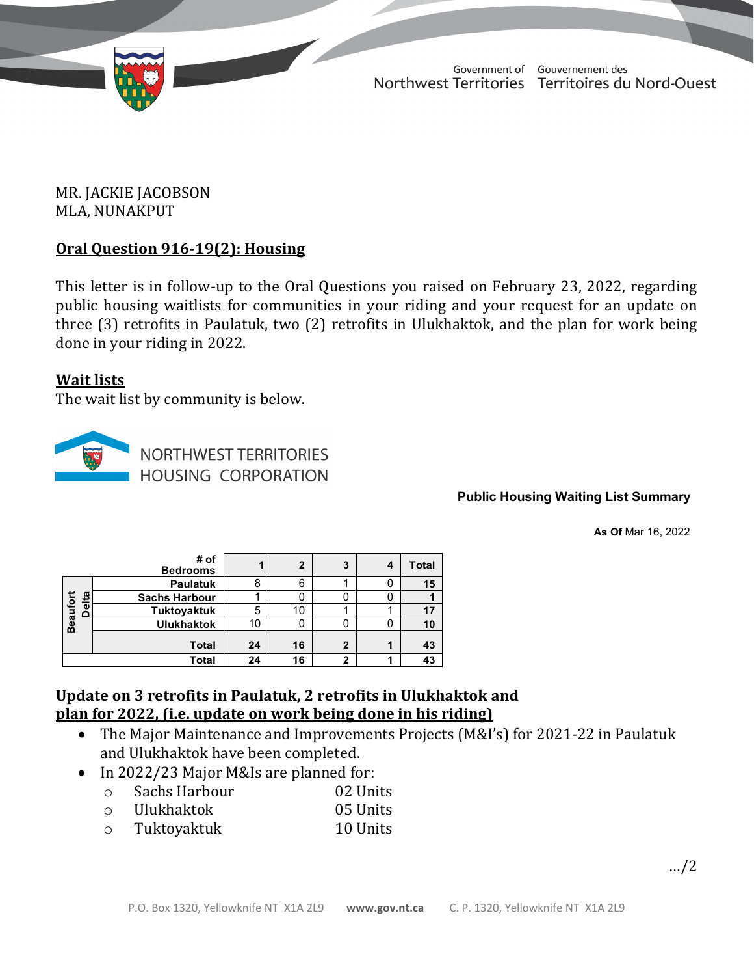

TD 605-19(2) TABLED ON MARCH 28, 2022

Government of Gouvernement des Northwest Territories Territoires du Nord-Ouest

March 23, 2022

### MR. JACKIE JACOBSON MLA, NUNAKPUT

## **Oral Question 916-19(2): Housing**

This letter is in follow-up to the Oral Questions you raised on February 23, 2022, regarding public housing waitlists for communities in your riding and your request for an update on three (3) retrofits in Paulatuk, two (2) retrofits in Ulukhaktok, and the plan for work being done in your riding in 2022.

### **Wait lists**

The wait list by community is below.



**NORTHWEST TERRITORIES HOUSING CORPORATION** 

**Public Housing Waiting List Summary**

**As Of** Mar 16, 2022

|                              | # of<br><b>Bedrooms</b> |    | $\mathbf{2}$ | 3 | 4 | <b>Total</b> |
|------------------------------|-------------------------|----|--------------|---|---|--------------|
| elta<br><b>Beaufort</b><br>o | <b>Paulatuk</b>         | 8  | 6            |   | U | 15           |
|                              | <b>Sachs Harbour</b>    |    | 0            |   | 0 |              |
|                              | <b>Tuktoyaktuk</b>      | 5  | 10           |   |   | 17           |
|                              | <b>Ulukhaktok</b>       | 10 |              |   | 0 | 10           |
|                              | <b>Total</b>            | 24 | 16           | 2 |   | 43           |
| Total                        |                         | 24 | 16           | າ |   | 43           |

# **Update on 3 retrofits in Paulatuk, 2 retrofits in Ulukhaktok and plan for 2022, (i.e. update on work being done in his riding)**

- The Major Maintenance and Improvements Projects (M&I's) for 2021-22 in Paulatuk and Ulukhaktok have been completed.
- In 2022/23 Major M&Is are planned for:<br>
o Sachs Harbour 02 Units
	- Sachs Harbour 02 Units<br>Ulukhaktok 05 Units
	- o Ulukhaktok 05 Units
	- o Tuktoyaktuk